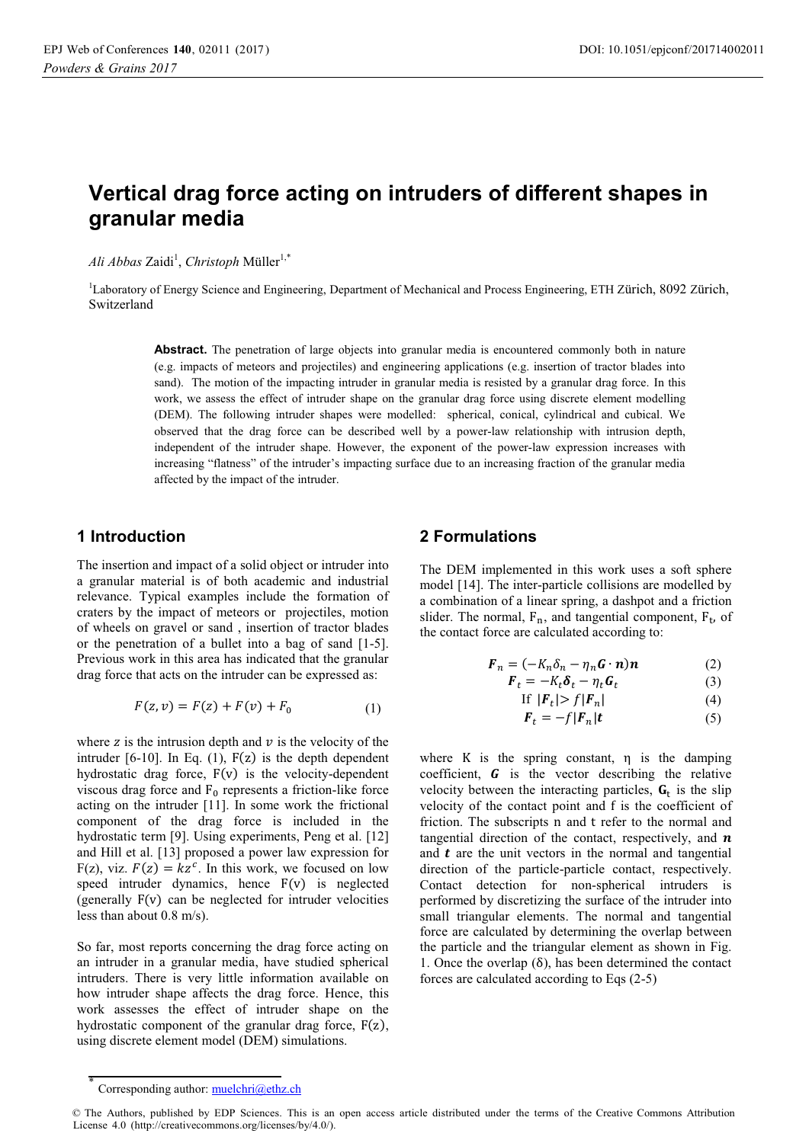# **Vertical drag force acting on intruders of different shapes in granular media**

 $Ali\,Abbas\, \text{Zaidi}^1$ , *Christoph* Müller<sup>1,\*</sup>

<sup>1</sup>Laboratory of Energy Science and Engineering, Department of Mechanical and Process Engineering, ETH Zürich, 8092 Zürich, Switzerland

> Abstract. The penetration of large objects into granular media is encountered commonly both in nature (e.g. impacts of meteors and projectiles) and engineering applications (e.g. insertion of tractor blades into sand). The motion of the impacting intruder in granular media is resisted by a granular drag force. In this work, we assess the effect of intruder shape on the granular drag force using discrete element modelling (DEM). The following intruder shapes were modelled: spherical, conical, cylindrical and cubical. We observed that the drag force can be described well by a power-law relationship with intrusion depth, independent of the intruder shape. However, the exponent of the power-law expression increases with increasing "flatness" of the intruder's impacting surface due to an increasing fraction of the granular media affected by the impact of the intruder.

#### **1 Introduction**

The insertion and impact of a solid object or intruder into a granular material is of both academic and industrial relevance. Typical examples include the formation of craters by the impact of meteors or projectiles, motion of wheels on gravel or sand , insertion of tractor blades or the penetration of a bullet into a bag of sand [1-5]. Previous work in this area has indicated that the granular drag force that acts on the intruder can be expressed as:

$$
F(z, v) = F(z) + F(v) + F_0
$$
 (1)

where z is the intrusion depth and  $\nu$  is the velocity of the intruder  $[6-10]$ . In Eq.  $(1)$ ,  $F(z)$  is the depth dependent hydrostatic drag force, F(v) is the velocity-dependent viscous drag force and  $F_0$  represents a friction-like force acting on the intruder [11]. In some work the frictional component of the drag force is included in the hydrostatic term [9]. Using experiments, Peng et al. [12] and Hill et al. [13] proposed a power law expression for F(z), viz.  $F(z) = kz^c$ . In this work, we focused on low speed intruder dynamics, hence  $F(v)$  is neglected (generally F(v) can be neglected for intruder velocities less than about 0.8 m/s).

So far, most reports concerning the drag force acting on an intruder in a granular media, have studied spherical intruders. There is very little information available on how intruder shape affects the drag force. Hence, this work assesses the effect of intruder shape on the hydrostatic component of the granular drag force, F(z), using discrete element model (DEM) simulations.

#### **2 Formulations**

The DEM implemented in this work uses a soft sphere model [14]. The inter-particle collisions are modelled by a combination of a linear spring, a dashpot and a friction slider. The normal,  $F_n$ , and tangential component,  $F_t$ , of the contact force are calculated according to:

$$
\boldsymbol{F}_n = (-K_n \delta_n - \eta_n \boldsymbol{G} \cdot \boldsymbol{n}) \boldsymbol{n}
$$
 (2)

$$
\boldsymbol{F}_t = -K_t \boldsymbol{\delta}_t - \eta_t \boldsymbol{G}_t \tag{3}
$$

$$
\text{If } |\mathbf{F}_t| > f |\mathbf{F}_n| \tag{4}
$$

$$
\boldsymbol{F}_t = -f|\boldsymbol{F}_n|\boldsymbol{t} \tag{5}
$$

where K is the spring constant,  $\eta$  is the damping coefficient,  $\boldsymbol{G}$  is the vector describing the relative velocity between the interacting particles,  $\mathbf{G}_t$  is the slip velocity of the contact point and f is the coefficient of friction. The subscripts n and t refer to the normal and tangential direction of the contact, respectively, and  $\boldsymbol{n}$ and  $t$  are the unit vectors in the normal and tangential direction of the particle-particle contact, respectively. Contact detection for non-spherical intruders is performed by discretizing the surface of the intruder into small triangular elements. The normal and tangential force are calculated by determining the overlap between the particle and the triangular element as shown in Fig. 1. Once the overlap  $(\delta)$ , has been determined the contact forces are calculated according to Eqs (2-5)

<sup>\*</sup> Corresponding author: muelchri@ethz.ch

<sup>©</sup> The Authors, published by EDP Sciences. This is an open access article distributed under the terms of the Creative Commons Attribution License 4.0 (http://creativecommons.org/licenses/by/4.0/).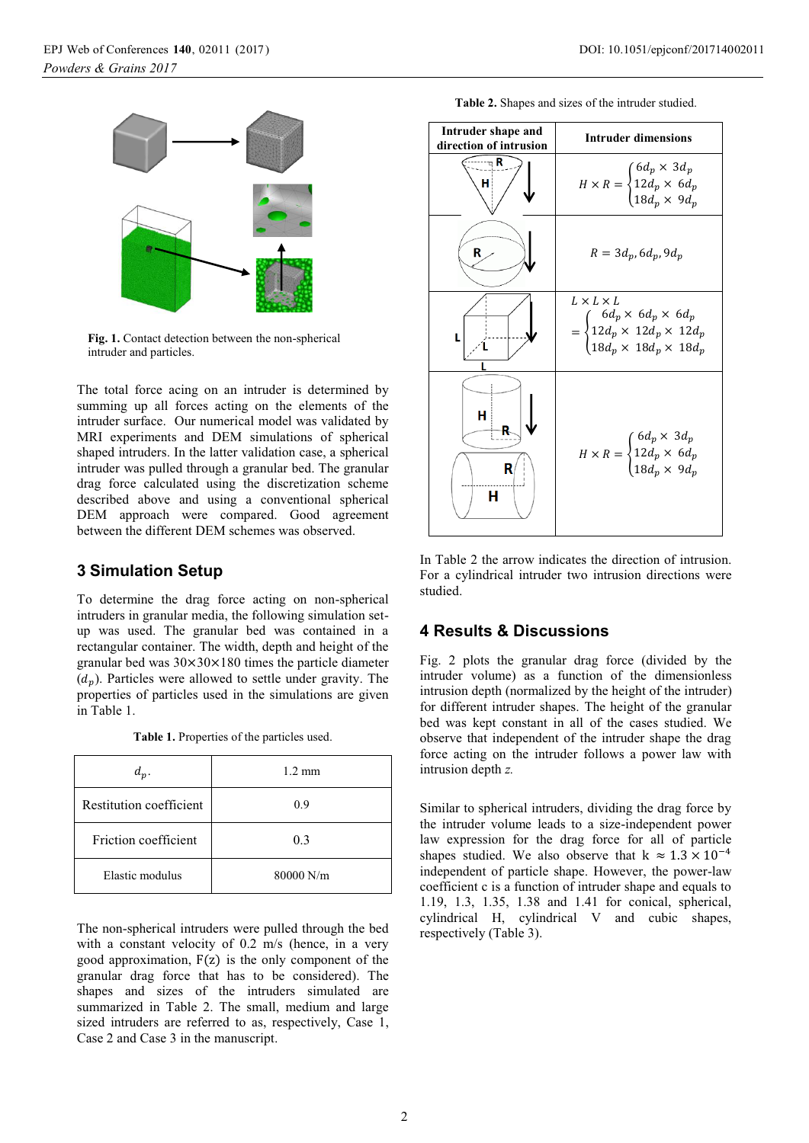

**Fig. 1.** Contact detection between the non-spherical intruder and particles.

The total force acing on an intruder is determined by summing up all forces acting on the elements of the intruder surface. Our numerical model was validated by MRI experiments and DEM simulations of spherical shaped intruders. In the latter validation case, a spherical intruder was pulled through a granular bed. The granular drag force calculated using the discretization scheme described above and using a conventional spherical DEM approach were compared. Good agreement between the different DEM schemes was observed.

#### **3 Simulation Setup**

To determine the drag force acting on non-spherical intruders in granular media, the following simulation setup was used. The granular bed was contained in a rectangular container. The width, depth and height of the granular bed was  $30 \times 30 \times 180$  times the particle diameter  $(d_n)$ . Particles were allowed to settle under gravity. The properties of particles used in the simulations are given in Table 1.

**Table 1.** Properties of the particles used.

| $d_p$ .                 | $1.2 \text{ mm}$ |
|-------------------------|------------------|
| Restitution coefficient | 0.9              |
| Friction coefficient    | 0.3              |
| Elastic modulus         | $80000$ N/m      |

The non-spherical intruders were pulled through the bed with a constant velocity of 0.2 m/s (hence, in a very good approximation,  $F(z)$  is the only component of the granular drag force that has to be considered). The shapes and sizes of the intruders simulated are summarized in Table 2. The small, medium and large sized intruders are referred to as, respectively, Case 1, Case 2 and Case 3 in the manuscript.

| <b>Table 2.</b> Shapes and sizes of the intruder studied. |  |  |  |
|-----------------------------------------------------------|--|--|--|
|                                                           |  |  |  |

| Intruder shape and<br>direction of intrusion | <b>Intruder dimensions</b>                                                                                                                                |
|----------------------------------------------|-----------------------------------------------------------------------------------------------------------------------------------------------------------|
| R<br>н                                       | $H\times R=\begin{cases} 6d_p\times 3d_p\\ 12d_p\times 6d_p\\ 18d_p\times 9d_p \end{cases}$                                                               |
| R                                            | $R = 3d_p, 6d_p, 9d_p$                                                                                                                                    |
|                                              | $L \times L \times L$<br>$= \begin{cases} 6d_p \times 6d_p \times 6d_p \\ 12d_p \times 12d_p \times 12d_p \\ 18d_p \times 18d_p \times 18d_p \end{cases}$ |
| н<br>н                                       | $H\times R=\begin{cases} 6d_p\times\,3d_p\\ 12d_p\times\,6d_p\\ 18d_p\times\,9d_p \end{cases}$                                                            |

In Table 2 the arrow indicates the direction of intrusion. For a cylindrical intruder two intrusion directions were studied.

#### **4 Results & Discussions**

Fig. 2 plots the granular drag force (divided by the intruder volume) as a function of the dimensionless intrusion depth (normalized by the height of the intruder) for different intruder shapes. The height of the granular bed was kept constant in all of the cases studied. We observe that independent of the intruder shape the drag force acting on the intruder follows a power law with intrusion depth *z.* 

Similar to spherical intruders, dividing the drag force by the intruder volume leads to a size-independent power law expression for the drag force for all of particle shapes studied. We also observe that  $k \approx 1.3 \times 10^{-4}$ independent of particle shape. However, the power-law coefficient c is a function of intruder shape and equals to 1.19, 1.3, 1.35, 1.38 and 1.41 for conical, spherical, cylindrical H, cylindrical V and cubic shapes, respectively (Table 3).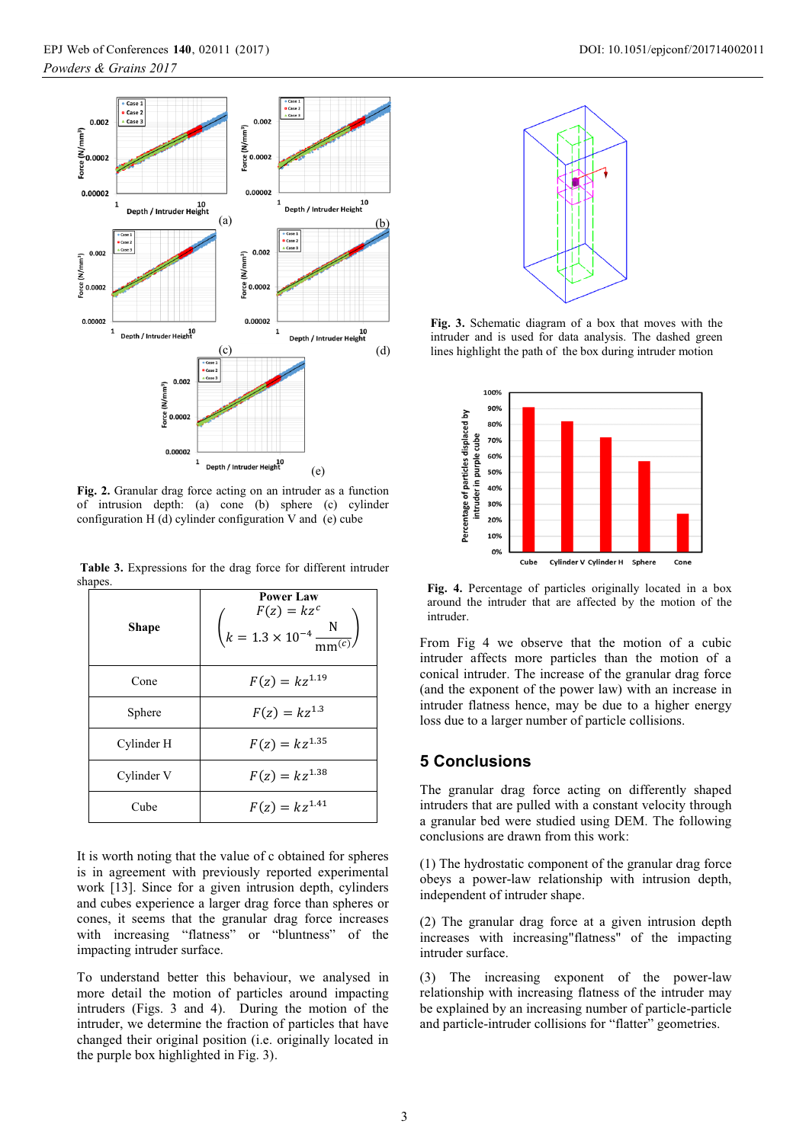

**Fig. 2.** Granular drag force acting on an intruder as a function of intrusion depth: (a) cone (b) sphere (c) cylinder configuration H (d) cylinder configuration V and (e) cube

 **Table 3.** Expressions for the drag force for different intruder shapes

| парсъ.       |                                                                                                |  |  |  |
|--------------|------------------------------------------------------------------------------------------------|--|--|--|
| <b>Shape</b> | <b>Power Law</b><br>$F(z) = kz^c$<br>$k = 1.3 \times 10^{-4} \frac{\text{N}}{\text{mm}^{(c)}}$ |  |  |  |
| Cone         | $F(z) = kz^{1.19}$                                                                             |  |  |  |
| Sphere       | $F(z) = kz^{1.3}$                                                                              |  |  |  |
| Cylinder H   | $F(z) = kz^{1.35}$                                                                             |  |  |  |
| Cylinder V   | $F(z) = kz^{1.38}$                                                                             |  |  |  |
| Cube         | $F(z) = kz^{1.41}$                                                                             |  |  |  |

It is worth noting that the value of c obtained for spheres is in agreement with previously reported experimental work [13]. Since for a given intrusion depth, cylinders and cubes experience a larger drag force than spheres or cones, it seems that the granular drag force increases with increasing "flatness" or "bluntness" of the impacting intruder surface.

To understand better this behaviour, we analysed in more detail the motion of particles around impacting intruders (Figs. 3 and 4). During the motion of the intruder, we determine the fraction of particles that have changed their original position (i.e. originally located in the purple box highlighted in Fig. 3).



**Fig. 3.** Schematic diagram of a box that moves with the intruder and is used for data analysis. The dashed green lines highlight the path of the box during intruder motion



**Fig. 4.** Percentage of particles originally located in a box around the intruder that are affected by the motion of the intruder.

From Fig 4 we observe that the motion of a cubic intruder affects more particles than the motion of a conical intruder. The increase of the granular drag force (and the exponent of the power law) with an increase in intruder flatness hence, may be due to a higher energy loss due to a larger number of particle collisions.

## **5 Conclusions**

The granular drag force acting on differently shaped intruders that are pulled with a constant velocity through a granular bed were studied using DEM. The following conclusions are drawn from this work:

(1) The hydrostatic component of the granular drag force obeys a power-law relationship with intrusion depth, independent of intruder shape.

(2) The granular drag force at a given intrusion depth increases with increasing"flatness" of the impacting intruder surface.

(3) The increasing exponent of the power-law relationship with increasing flatness of the intruder may be explained by an increasing number of particle-particle and particle-intruder collisions for "flatter" geometries.